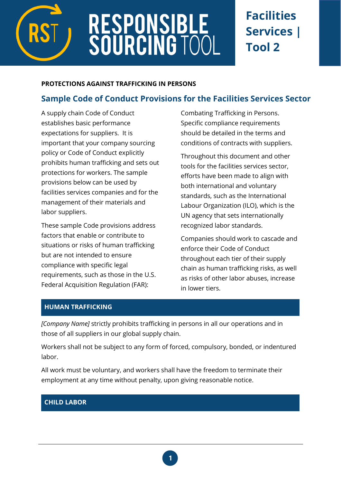

# **RESPONSIBLE<br>SOURCING TOC**

# **Facilities Services | Tool 2**

#### **PROTECTIONS AGAINST TRAFFICKING IN PERSONS**

# **Sample Code of Conduct Provisions for the Facilities Services Sector**

A supply chain Code of Conduct establishes basic performance expectations for suppliers. It is important that your company sourcing policy or Code of Conduct explicitly prohibits human trafficking and sets out protections for workers. The sample provisions below can be used by facilities services companies and for the management of their materials and labor suppliers.

These sample Code provisions address factors that enable or contribute to situations or risks of human trafficking but are not intended to ensure compliance with specific legal requirements, such as those in the U.S. Federal Acquisition Regulation (FAR):

Combating Trafficking in Persons. Specific compliance requirements should be detailed in the terms and conditions of contracts with suppliers.

Throughout this document and other tools for the facilities services sector, efforts have been made to align with both international and voluntary standards, such as the International Labour Organization (ILO), which is the UN agency that sets internationally recognized labor standards.

Companies should work to cascade and enforce their Code of Conduct throughout each tier of their supply chain as human trafficking risks, as well as risks of other labor abuses, increase in lower tiers.

# **HUMAN TRAFFICKING**

*[Company Name]* strictly prohibits trafficking in persons in all our operations and in those of all suppliers in our global supply chain.

Workers shall not be subject to any form of forced, compulsory, bonded, or indentured labor.

All work must be voluntary, and workers shall have the freedom to terminate their employment at any time without penalty, upon giving reasonable notice.

## **CHILD LABOR**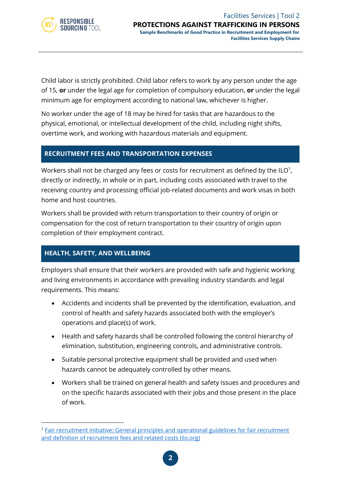

Child labor is strictly prohibited. Child labor refers to work by any person under the age of 15, **or** under the legal age for completion of compulsory education, **or** under the legal minimum age for employment according to national law, whichever is higher.

No worker under the age of 18 may be hired for tasks that are hazardous to the physical, emotional, or intellectual development of the child, including night shifts, overtime work, and working with hazardous materials and equipment.

#### **RECRUITMENT FEES AND TRANSPORTATION EXPENSES**

Workers shall not be charged any fees or costs for recruitment as defined by the ILO $^{\rm 1}$ , directly or indirectly, in whole or in part, including costs associated with travel to the receiving country and processing official job-related documents and work visas in both home and host countries.

Workers shall be provided with return transportation to their country of origin or compensation for the cost of return transportation to their country of origin upon completion of their employment contract.

#### **HEALTH, SAFETY, AND WELLBEING**

Employers shall ensure that their workers are provided with safe and hygienic working and living environments in accordance with prevailing industry standards and legal requirements. This means:

- Accidents and incidents shall be prevented by the identification, evaluation, and control of health and safety hazards associated both with the employer's operations and place(s) of work.
- Health and safety hazards shall be controlled following the control hierarchy of elimination, substitution, engineering controls, and administrative controls.
- Suitable personal protective equipment shall be provided and used when hazards cannot be adequately controlled by other means.
- Workers shall be trained on general health and safety issues and procedures and on the specific hazards associated with their jobs and those present in the place of work.

<sup>1</sup> [Fair recruitment initiative: General principles and operational guidelines for fair recruitment](https://www.ilo.org/global/topics/labour-migration/publications/WCMS_536755/lang--en/index.htm)  [and definition of recruitment fees and related costs \(ilo.org\)](https://www.ilo.org/global/topics/labour-migration/publications/WCMS_536755/lang--en/index.htm)

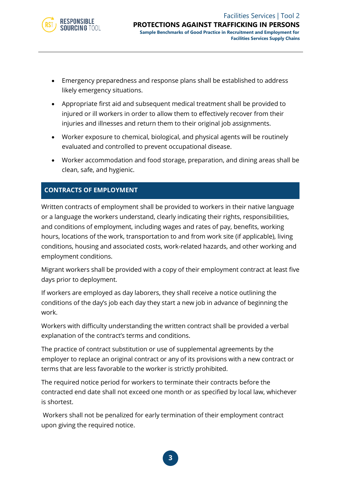

- Emergency preparedness and response plans shall be established to address likely emergency situations.
- Appropriate first aid and subsequent medical treatment shall be provided to injured or ill workers in order to allow them to effectively recover from their injuries and illnesses and return them to their original job assignments.
- Worker exposure to chemical, biological, and physical agents will be routinely evaluated and controlled to prevent occupational disease.
- Worker accommodation and food storage, preparation, and dining areas shall be clean, safe, and hygienic.

## **CONTRACTS OF EMPLOYMENT**

Written contracts of employment shall be provided to workers in their native language or a language the workers understand, clearly indicating their rights, responsibilities, and conditions of employment, including wages and rates of pay, benefits, working hours, locations of the work, transportation to and from work site (if applicable), living conditions, housing and associated costs, work-related hazards, and other working and employment conditions.

Migrant workers shall be provided with a copy of their employment contract at least five days prior to deployment.

If workers are employed as day laborers, they shall receive a notice outlining the conditions of the day's job each day they start a new job in advance of beginning the work.

Workers with difficulty understanding the written contract shall be provided a verbal explanation of the contract's terms and conditions.

The practice of contract substitution or use of supplemental agreements by the employer to replace an original contract or any of its provisions with a new contract or terms that are less favorable to the worker is strictly prohibited.

The required notice period for workers to terminate their contracts before the contracted end date shall not exceed one month or as specified by local law, whichever is shortest.

Workers shall not be penalized for early termination of their employment contract upon giving the required notice.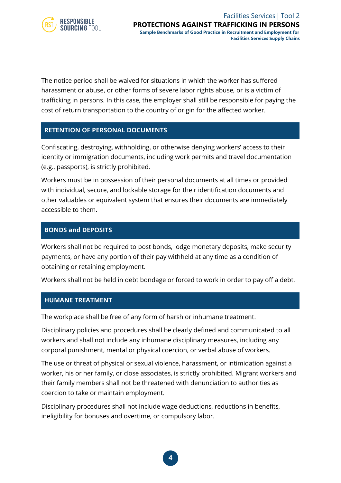

The notice period shall be waived for situations in which the worker has suffered harassment or abuse, or other forms of severe labor rights abuse, or is a victim of trafficking in persons. In this case, the employer shall still be responsible for paying the cost of return transportation to the country of origin for the affected worker.

#### **RETENTION OF PERSONAL DOCUMENTS**

Confiscating, destroying, withholding, or otherwise denying workers' access to their identity or immigration documents, including work permits and travel documentation (e.g., passports), is strictly prohibited.

Workers must be in possession of their personal documents at all times or provided with individual, secure, and lockable storage for their identification documents and other valuables or equivalent system that ensures their documents are immediately accessible to them.

#### **BONDS and DEPOSITS**

Workers shall not be required to post bonds, lodge monetary deposits, make security payments, or have any portion of their pay withheld at any time as a condition of obtaining or retaining employment.

Workers shall not be held in debt bondage or forced to work in order to pay off a debt.

#### **HUMANE TREATMENT**

The workplace shall be free of any form of harsh or inhumane treatment.

Disciplinary policies and procedures shall be clearly defined and communicated to all workers and shall not include any inhumane disciplinary measures, including any corporal punishment, mental or physical coercion, or verbal abuse of workers.

The use or threat of physical or sexual violence, harassment, or intimidation against a worker, his or her family, or close associates, is strictly prohibited. Migrant workers and their family members shall not be threatened with denunciation to authorities as coercion to take or maintain employment.

Disciplinary procedures shall not include wage deductions, reductions in benefits, ineligibility for bonuses and overtime, or compulsory labor.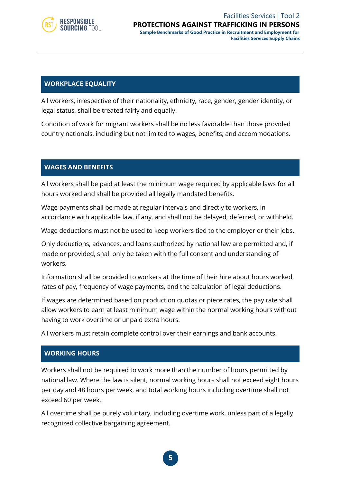

#### Facilities Services | Tool 2 **PROTECTIONS AGAINST TRAFFICKING IN PERSONS**

**Sample Benchmarks of Good Practice in Recruitment and Employment for Facilities Services Supply Chains**

#### **WORKPLACE EQUALITY**

All workers, irrespective of their nationality, ethnicity, race, gender, gender identity, or legal status, shall be treated fairly and equally.

Condition of work for migrant workers shall be no less favorable than those provided country nationals, including but not limited to wages, benefits, and accommodations.

#### **WAGES AND BENEFITS**

All workers shall be paid at least the minimum wage required by applicable laws for all hours worked and shall be provided all legally mandated benefits.

Wage payments shall be made at regular intervals and directly to workers, in accordance with applicable law, if any, and shall not be delayed, deferred, or withheld.

Wage deductions must not be used to keep workers tied to the employer or their jobs.

Only deductions, advances, and loans authorized by national law are permitted and, if made or provided, shall only be taken with the full consent and understanding of workers.

Information shall be provided to workers at the time of their hire about hours worked, rates of pay, frequency of wage payments, and the calculation of legal deductions.

If wages are determined based on production quotas or piece rates, the pay rate shall allow workers to earn at least minimum wage within the normal working hours without having to work overtime or unpaid extra hours.

All workers must retain complete control over their earnings and bank accounts.

#### **WORKING HOURS**

Workers shall not be required to work more than the number of hours permitted by national law. Where the law is silent, normal working hours shall not exceed eight hours per day and 48 hours per week, and total working hours including overtime shall not exceed 60 per week.

All overtime shall be purely voluntary, including overtime work, unless part of a legally recognized collective bargaining agreement.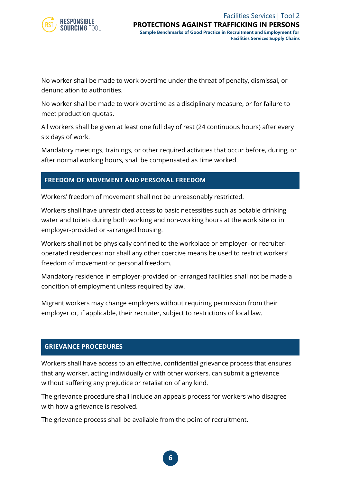

No worker shall be made to work overtime under the threat of penalty, dismissal, or denunciation to authorities.

No worker shall be made to work overtime as a disciplinary measure, or for failure to meet production quotas.

All workers shall be given at least one full day of rest (24 continuous hours) after every six days of work.

Mandatory meetings, trainings, or other required activities that occur before, during, or after normal working hours, shall be compensated as time worked.

#### **FREEDOM OF MOVEMENT AND PERSONAL FREEDOM**

Workers' freedom of movement shall not be unreasonably restricted.

Workers shall have unrestricted access to basic necessities such as potable drinking water and toilets during both working and non-working hours at the work site or in employer-provided or -arranged housing.

Workers shall not be physically confined to the workplace or employer- or recruiteroperated residences; nor shall any other coercive means be used to restrict workers' freedom of movement or personal freedom.

Mandatory residence in employer-provided or -arranged facilities shall not be made a condition of employment unless required by law.

Migrant workers may change employers without requiring permission from their employer or, if applicable, their recruiter, subject to restrictions of local law.

#### **GRIEVANCE PROCEDURES**

Workers shall have access to an effective, confidential grievance process that ensures that any worker, acting individually or with other workers, can submit a grievance without suffering any prejudice or retaliation of any kind.

The grievance procedure shall include an appeals process for workers who disagree with how a grievance is resolved.

The grievance process shall be available from the point of recruitment.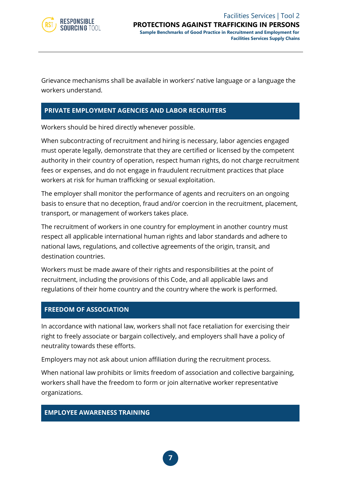

Grievance mechanisms shall be available in workers' native language or a language the workers understand.

#### **PRIVATE EMPLOYMENT AGENCIES AND LABOR RECRUITERS**

Workers should be hired directly whenever possible.

When subcontracting of recruitment and hiring is necessary, labor agencies engaged must operate legally, demonstrate that they are certified or licensed by the competent authority in their country of operation, respect human rights, do not charge recruitment fees or expenses, and do not engage in fraudulent recruitment practices that place workers at risk for human trafficking or sexual exploitation.

The employer shall monitor the performance of agents and recruiters on an ongoing basis to ensure that no deception, fraud and/or coercion in the recruitment, placement, transport, or management of workers takes place.

The recruitment of workers in one country for employment in another country must respect all applicable international human rights and labor standards and adhere to national laws, regulations, and collective agreements of the origin, transit, and destination countries.

Workers must be made aware of their rights and responsibilities at the point of recruitment, including the provisions of this Code, and all applicable laws and regulations of their home country and the country where the work is performed.

#### **FREEDOM OF ASSOCIATION**

In accordance with national law, workers shall not face retaliation for exercising their right to freely associate or bargain collectively, and employers shall have a policy of neutrality towards these efforts.

Employers may not ask about union affiliation during the recruitment process.

When national law prohibits or limits freedom of association and collective bargaining, workers shall have the freedom to form or join alternative worker representative organizations.

#### **EMPLOYEE AWARENESS TRAINING**